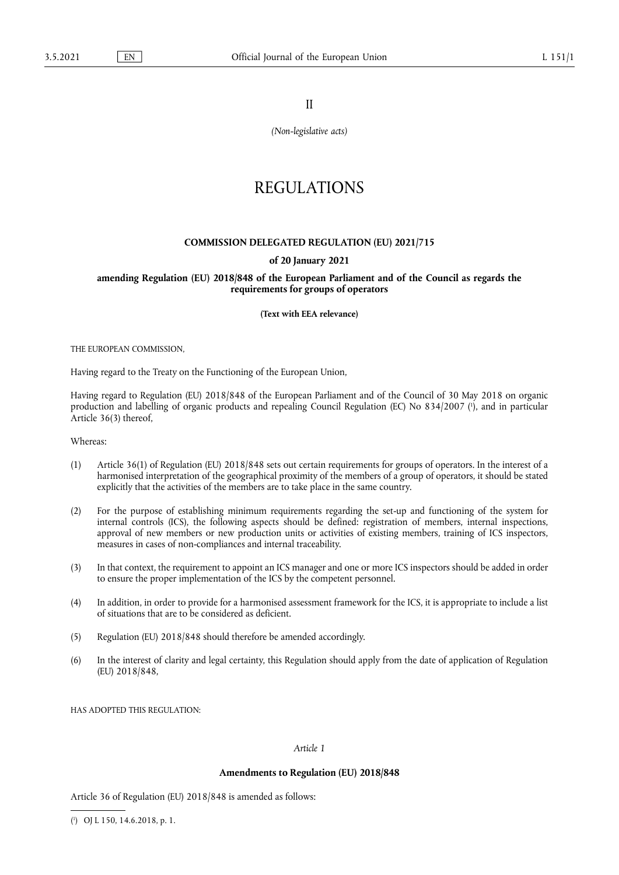II

*(Non-legislative acts)*

# REGULATIONS

## **COMMISSION DELEGATED REGULATION (EU) 2021/715**

#### **of 20 January 2021**

**amending Regulation (EU) 2018/848 of the European Parliament and of the Council as regards the requirements for groups of operators** 

**(Text with EEA relevance)** 

THE EUROPEAN COMMISSION,

Having regard to the Treaty on the Functioning of the European Union,

<span id="page-0-1"></span>Having regard to Regulation (EU) 2018/848 of the European Parliament and of the Council of 30 May 2018 on organic production and labelling of organic products and repealing Council Regulation (EC) No 834/2007 ( 1 [\),](#page-0-0) and in particular Article 36(3) thereof,

Whereas:

- (1) Article 36(1) of Regulation (EU) 2018/848 sets out certain requirements for groups of operators. In the interest of a harmonised interpretation of the geographical proximity of the members of a group of operators, it should be stated explicitly that the activities of the members are to take place in the same country.
- (2) For the purpose of establishing minimum requirements regarding the set-up and functioning of the system for internal controls (ICS), the following aspects should be defined: registration of members, internal inspections, approval of new members or new production units or activities of existing members, training of ICS inspectors, measures in cases of non-compliances and internal traceability.
- (3) In that context, the requirement to appoint an ICS manager and one or more ICS inspectors should be added in order to ensure the proper implementation of the ICS by the competent personnel.
- (4) In addition, in order to provide for a harmonised assessment framework for the ICS, it is appropriate to include a list of situations that are to be considered as deficient.
- (5) Regulation (EU) 2018/848 should therefore be amended accordingly.
- (6) In the interest of clarity and legal certainty, this Regulation should apply from the date of application of Regulation (EU) 2018/848,

HAS ADOPTED THIS REGULATION:

## *Article 1*

#### **Amendments to Regulation (EU) 2018/848**

Article 36 of Regulation (EU) 2018/848 is amended as follows:

<span id="page-0-0"></span>[\(](#page-0-1) 1 ) OJ L 150, 14.6.2018, p. 1.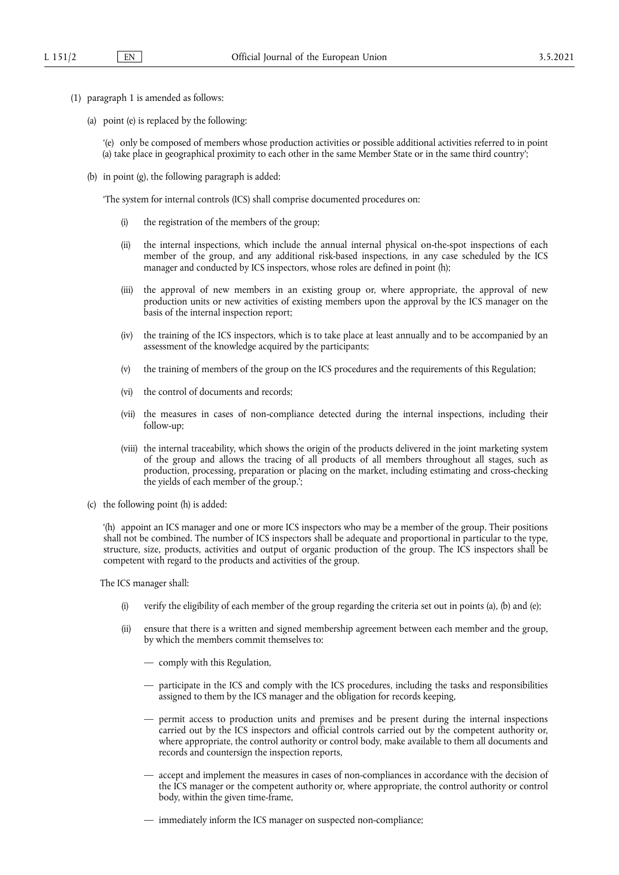- (1) paragraph 1 is amended as follows:
	- (a) point (e) is replaced by the following:

'(e) only be composed of members whose production activities or possible additional activities referred to in point (a) take place in geographical proximity to each other in the same Member State or in the same third country';

(b) in point (g), the following paragraph is added:

'The system for internal controls (ICS) shall comprise documented procedures on:

- (i) the registration of the members of the group;
- (ii) the internal inspections, which include the annual internal physical on-the-spot inspections of each member of the group, and any additional risk-based inspections, in any case scheduled by the ICS manager and conducted by ICS inspectors, whose roles are defined in point (h);
- (iii) the approval of new members in an existing group or, where appropriate, the approval of new production units or new activities of existing members upon the approval by the ICS manager on the basis of the internal inspection report;
- (iv) the training of the ICS inspectors, which is to take place at least annually and to be accompanied by an assessment of the knowledge acquired by the participants;
- (v) the training of members of the group on the ICS procedures and the requirements of this Regulation;
- (vi) the control of documents and records;
- (vii) the measures in cases of non-compliance detected during the internal inspections, including their follow-up;
- (viii) the internal traceability, which shows the origin of the products delivered in the joint marketing system of the group and allows the tracing of all products of all members throughout all stages, such as production, processing, preparation or placing on the market, including estimating and cross-checking the yields of each member of the group.';
- (c) the following point (h) is added:

'(h) appoint an ICS manager and one or more ICS inspectors who may be a member of the group. Their positions shall not be combined. The number of ICS inspectors shall be adequate and proportional in particular to the type, structure, size, products, activities and output of organic production of the group. The ICS inspectors shall be competent with regard to the products and activities of the group.

The ICS manager shall:

- (i) verify the eligibility of each member of the group regarding the criteria set out in points (a), (b) and (e);
- (ii) ensure that there is a written and signed membership agreement between each member and the group, by which the members commit themselves to:
	- comply with this Regulation,
	- participate in the ICS and comply with the ICS procedures, including the tasks and responsibilities assigned to them by the ICS manager and the obligation for records keeping,
	- permit access to production units and premises and be present during the internal inspections carried out by the ICS inspectors and official controls carried out by the competent authority or, where appropriate, the control authority or control body, make available to them all documents and records and countersign the inspection reports,
	- accept and implement the measures in cases of non-compliances in accordance with the decision of the ICS manager or the competent authority or, where appropriate, the control authority or control body, within the given time-frame,
	- immediately inform the ICS manager on suspected non-compliance;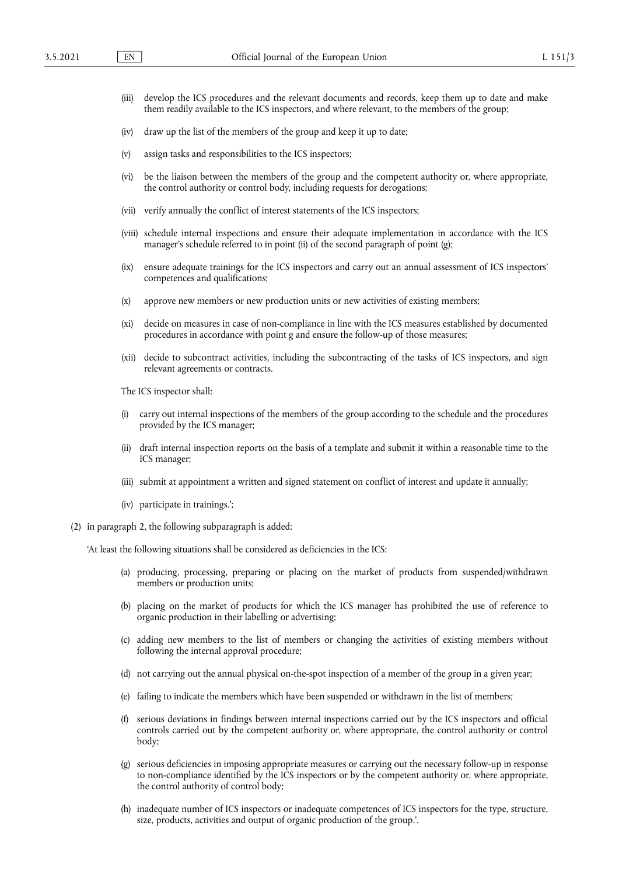- (iii) develop the ICS procedures and the relevant documents and records, keep them up to date and make them readily available to the ICS inspectors, and where relevant, to the members of the group;
- (iv) draw up the list of the members of the group and keep it up to date;
- (v) assign tasks and responsibilities to the ICS inspectors;
- (vi) be the liaison between the members of the group and the competent authority or, where appropriate, the control authority or control body, including requests for derogations;
- (vii) verify annually the conflict of interest statements of the ICS inspectors;
- (viii) schedule internal inspections and ensure their adequate implementation in accordance with the ICS manager's schedule referred to in point (ii) of the second paragraph of point (g);
- (ix) ensure adequate trainings for the ICS inspectors and carry out an annual assessment of ICS inspectors' competences and qualifications;
- (x) approve new members or new production units or new activities of existing members;
- (xi) decide on measures in case of non-compliance in line with the ICS measures established by documented procedures in accordance with point g and ensure the follow-up of those measures;
- (xii) decide to subcontract activities, including the subcontracting of the tasks of ICS inspectors, and sign relevant agreements or contracts.

The ICS inspector shall:

- (i) carry out internal inspections of the members of the group according to the schedule and the procedures provided by the ICS manager;
- (ii) draft internal inspection reports on the basis of a template and submit it within a reasonable time to the ICS manager;
- (iii) submit at appointment a written and signed statement on conflict of interest and update it annually;
- (iv) participate in trainings.';
- (2) in paragraph 2, the following subparagraph is added:

'At least the following situations shall be considered as deficiencies in the ICS:

- (a) producing, processing, preparing or placing on the market of products from suspended/withdrawn members or production units;
- (b) placing on the market of products for which the ICS manager has prohibited the use of reference to organic production in their labelling or advertising;
- (c) adding new members to the list of members or changing the activities of existing members without following the internal approval procedure;
- (d) not carrying out the annual physical on-the-spot inspection of a member of the group in a given year;
- (e) failing to indicate the members which have been suspended or withdrawn in the list of members;
- (f) serious deviations in findings between internal inspections carried out by the ICS inspectors and official controls carried out by the competent authority or, where appropriate, the control authority or control body;
- (g) serious deficiencies in imposing appropriate measures or carrying out the necessary follow-up in response to non-compliance identified by the ICS inspectors or by the competent authority or, where appropriate, the control authority of control body;
- (h) inadequate number of ICS inspectors or inadequate competences of ICS inspectors for the type, structure, size, products, activities and output of organic production of the group.'.